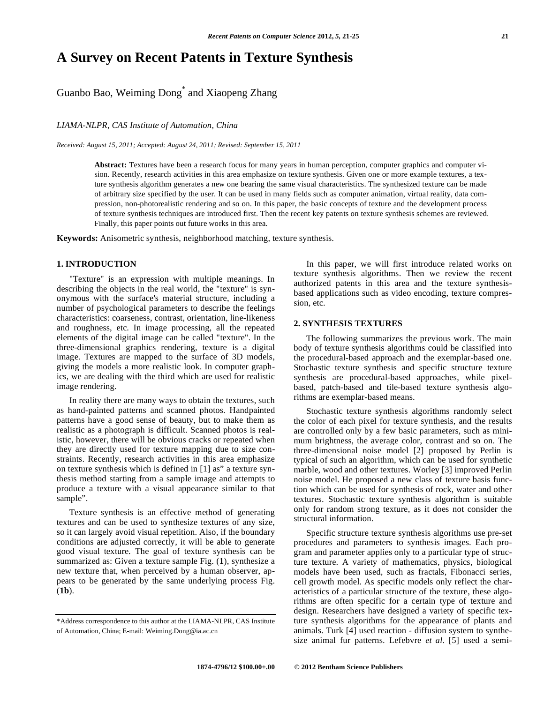# **A Survey on Recent Patents in Texture Synthesis**

## Guanbo Bao, Weiming Dong\* and Xiaopeng Zhang

*LIAMA-NLPR, CAS Institute of Automation, China* 

*Received: August 15, 2011; Accepted: August 24, 2011; Revised: September 15, 2011*

**Abstract:** Textures have been a research focus for many years in human perception, computer graphics and computer vision. Recently, research activities in this area emphasize on texture synthesis. Given one or more example textures, a texture synthesis algorithm generates a new one bearing the same visual characteristics. The synthesized texture can be made of arbitrary size specified by the user. It can be used in many fields such as computer animation, virtual reality, data compression, non-photorealistic rendering and so on. In this paper, the basic concepts of texture and the development process of texture synthesis techniques are introduced first. Then the recent key patents on texture synthesis schemes are reviewed. Finally, this paper points out future works in this area.

**Keywords:** Anisometric synthesis, neighborhood matching, texture synthesis.

## **1. INTRODUCTION**

 "Texture" is an expression with multiple meanings. In describing the objects in the real world, the "texture" is synonymous with the surface's material structure, including a number of psychological parameters to describe the feelings characteristics: coarseness, contrast, orientation, line-likeness and roughness, etc. In image processing, all the repeated elements of the digital image can be called "texture". In the three-dimensional graphics rendering, texture is a digital image. Textures are mapped to the surface of 3D models, giving the models a more realistic look. In computer graphics, we are dealing with the third which are used for realistic image rendering.

 In reality there are many ways to obtain the textures, such as hand-painted patterns and scanned photos. Handpainted patterns have a good sense of beauty, but to make them as realistic as a photograph is difficult. Scanned photos is realistic, however, there will be obvious cracks or repeated when they are directly used for texture mapping due to size constraints. Recently, research activities in this area emphasize on texture synthesis which is defined in [1] as" a texture synthesis method starting from a sample image and attempts to produce a texture with a visual appearance similar to that sample".

 Texture synthesis is an effective method of generating textures and can be used to synthesize textures of any size, so it can largely avoid visual repetition. Also, if the boundary conditions are adjusted correctly, it will be able to generate good visual texture. The goal of texture synthesis can be summarized as: Given a texture sample Fig. (**1**), synthesize a new texture that, when perceived by a human observer, appears to be generated by the same underlying process Fig. (**1b**).

 In this paper, we will first introduce related works on texture synthesis algorithms. Then we review the recent authorized patents in this area and the texture synthesisbased applications such as video encoding, texture compression, etc.

## **2. SYNTHESIS TEXTURES**

 The following summarizes the previous work. The main body of texture synthesis algorithms could be classified into the procedural-based approach and the exemplar-based one. Stochastic texture synthesis and specific structure texture synthesis are procedural-based approaches, while pixelbased, patch-based and tile-based texture synthesis algorithms are exemplar-based means.

 Stochastic texture synthesis algorithms randomly select the color of each pixel for texture synthesis, and the results are controlled only by a few basic parameters, such as minimum brightness, the average color, contrast and so on. The three-dimensional noise model [2] proposed by Perlin is typical of such an algorithm, which can be used for synthetic marble, wood and other textures. Worley [3] improved Perlin noise model. He proposed a new class of texture basis function which can be used for synthesis of rock, water and other textures. Stochastic texture synthesis algorithm is suitable only for random strong texture, as it does not consider the structural information.

 Specific structure texture synthesis algorithms use pre-set procedures and parameters to synthesis images. Each program and parameter applies only to a particular type of structure texture. A variety of mathematics, physics, biological models have been used, such as fractals, Fibonacci series, cell growth model. As specific models only reflect the characteristics of a particular structure of the texture, these algorithms are often specific for a certain type of texture and design. Researchers have designed a variety of specific texture synthesis algorithms for the appearance of plants and animals. Turk [4] used reaction - diffusion system to synthesize animal fur patterns. Lefebvre *et al*. [5] used a semi-

<sup>\*</sup>Address correspondence to this author at the LIAMA-NLPR, CAS Institute of Automation, China; E-mail: Weiming.Dong@ia.ac.cn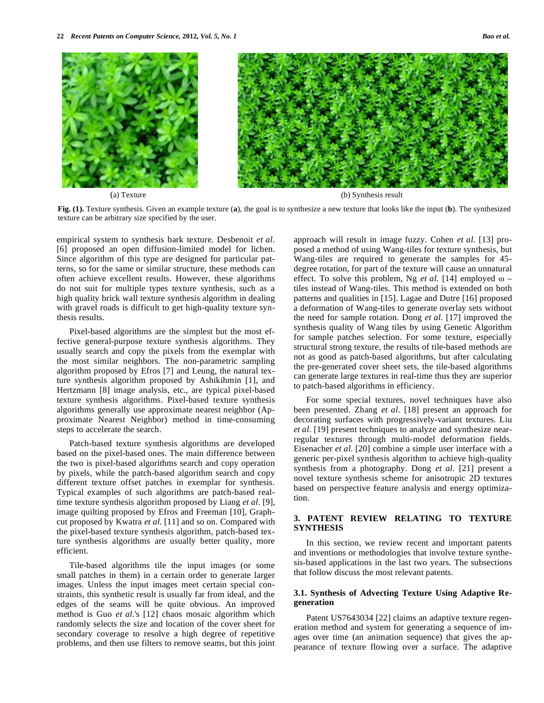

(a) Texture (b) Synthesis result

**Fig. (1).** Texture synthesis. Given an example texture (**a**), the goal is to synthesize a new texture that looks like the input (**b**). The synthesized texture can be arbitrary size specified by the user.

empirical system to synthesis bark texture. Desbenoit *et al*. [6] proposed an open diffusion-limited model for lichen. Since algorithm of this type are designed for particular patterns, so for the same or similar structure, these methods can often achieve excellent results. However, these algorithms do not suit for multiple types texture synthesis, such as a high quality brick wall texture synthesis algorithm in dealing with gravel roads is difficult to get high-quality texture synthesis results.

 Pixel-based algorithms are the simplest but the most effective general-purpose texture synthesis algorithms. They usually search and copy the pixels from the exemplar with the most similar neighbors. The non-parametric sampling algorithm proposed by Efros [7] and Leung, the natural texture synthesis algorithm proposed by Ashikihmin [1], and Hertzmann [8] image analysis, etc., are typical pixel-based texture synthesis algorithms. Pixel-based texture synthesis algorithms generally use approximate nearest neighbor (Approximate Nearest Neighbor) method in time-consuming steps to accelerate the search.

 Patch-based texture synthesis algorithms are developed based on the pixel-based ones. The main difference between the two is pixel-based algorithms search and copy operation by pixels, while the patch-based algorithm search and copy different texture offset patches in exemplar for synthesis. Typical examples of such algorithms are patch-based realtime texture synthesis algorithm proposed by Liang *et al*. [9], image quilting proposed by Efros and Freeman [10], Graphcut proposed by Kwatra *et al*. [11] and so on. Compared with the pixel-based texture synthesis algorithm, patch-based texture synthesis algorithms are usually better quality, more efficient.

 Tile-based algorithms tile the input images (or some small patches in them) in a certain order to generate larger images. Unless the input images meet certain special constraints, this synthetic result is usually far from ideal, and the edges of the seams will be quite obvious. An improved method is Guo *et al*.'s [12] chaos mosaic algorithm which randomly selects the size and location of the cover sheet for secondary coverage to resolve a high degree of repetitive problems, and then use filters to remove seams, but this joint

approach will result in image fuzzy. Cohen *et al*. [13] proposed a method of using Wang-tiles for texture synthesis, but Wang-tiles are required to generate the samples for 45 degree rotation, for part of the texture will cause an unnatural effect. To solve this problem, Ng *et al.* [14] employed  $\omega$  – tiles instead of Wang-tiles. This method is extended on both patterns and qualities in [15]. Lagae and Dutre [16] proposed a deformation of Wang-tiles to generate overlay sets without the need for sample rotation. Dong *et al*. [17] improved the synthesis quality of Wang tiles by using Genetic Algorithm for sample patches selection. For some texture, especially structural strong texture, the results of tile-based methods are not as good as patch-based algorithms, but after calculating the pre-generated cover sheet sets, the tile-based algorithms can generate large textures in real-time thus they are superior to patch-based algorithms in efficiency.

 For some special textures, novel techniques have also been presented. Zhang *et al*. [18] present an approach for decorating surfaces with progressively-variant textures. Liu *et al*. [19] present techniques to analyze and synthesize nearregular textures through multi-model deformation fields. Eisenacher *et al*. [20] combine a simple user interface with a generic per-pixel synthesis algorithm to achieve high-quality synthesis from a photography. Dong *et al*. [21] present a novel texture synthesis scheme for anisotropic 2D textures based on perspective feature analysis and energy optimization.

## **3. PATENT REVIEW RELATING TO TEXTURE SYNTHESIS**

 In this section, we review recent and important patents and inventions or methodologies that involve texture synthesis-based applications in the last two years. The subsections that follow discuss the most relevant patents.

#### **3.1. Synthesis of Advecting Texture Using Adaptive Regeneration**

 Patent US7643034 [22] claims an adaptive texture regeneration method and system for generating a sequence of images over time (an animation sequence) that gives the appearance of texture flowing over a surface. The adaptive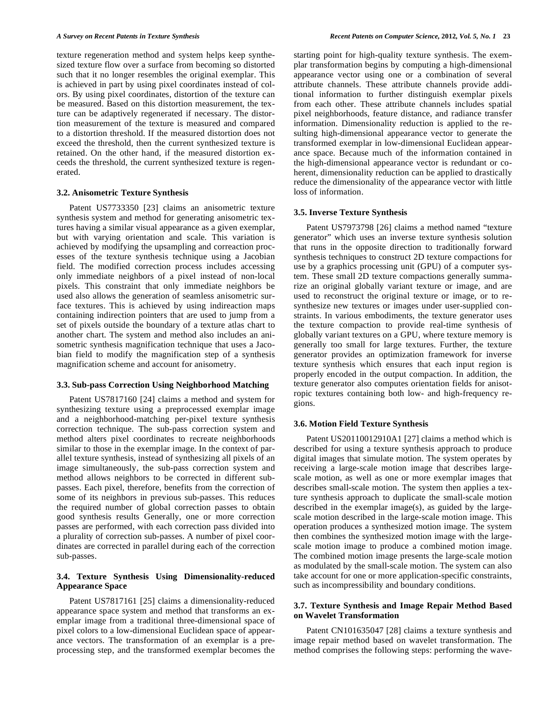texture regeneration method and system helps keep synthesized texture flow over a surface from becoming so distorted such that it no longer resembles the original exemplar. This is achieved in part by using pixel coordinates instead of colors. By using pixel coordinates, distortion of the texture can be measured. Based on this distortion measurement, the texture can be adaptively regenerated if necessary. The distortion measurement of the texture is measured and compared to a distortion threshold. If the measured distortion does not exceed the threshold, then the current synthesized texture is retained. On the other hand, if the measured distortion exceeds the threshold, the current synthesized texture is regenerated.

### **3.2. Anisometric Texture Synthesis**

 Patent US7733350 [23] claims an anisometric texture synthesis system and method for generating anisometric textures having a similar visual appearance as a given exemplar, but with varying orientation and scale. This variation is achieved by modifying the upsampling and correaction processes of the texture synthesis technique using a Jacobian field. The modified correction process includes accessing only immediate neighbors of a pixel instead of non-local pixels. This constraint that only immediate neighbors be used also allows the generation of seamless anisometric surface textures. This is achieved by using indireaction maps containing indirection pointers that are used to jump from a set of pixels outside the boundary of a texture atlas chart to another chart. The system and method also includes an anisometric synthesis magnification technique that uses a Jacobian field to modify the magnification step of a synthesis magnification scheme and account for anisometry.

#### **3.3. Sub-pass Correction Using Neighborhood Matching**

 Patent US7817160 [24] claims a method and system for synthesizing texture using a preprocessed exemplar image and a neighborhood-matching per-pixel texture synthesis correction technique. The sub-pass correction system and method alters pixel coordinates to recreate neighborhoods similar to those in the exemplar image. In the context of parallel texture synthesis, instead of synthesizing all pixels of an image simultaneously, the sub-pass correction system and method allows neighbors to be corrected in different subpasses. Each pixel, therefore, benefits from the correction of some of its neighbors in previous sub-passes. This reduces the required number of global correction passes to obtain good synthesis results Generally, one or more correction passes are performed, with each correction pass divided into a plurality of correction sub-passes. A number of pixel coordinates are corrected in parallel during each of the correction sub-passes.

## **3.4. Texture Synthesis Using Dimensionality-reduced Appearance Space**

 Patent US7817161 [25] claims a dimensionality-reduced appearance space system and method that transforms an exemplar image from a traditional three-dimensional space of pixel colors to a low-dimensional Euclidean space of appearance vectors. The transformation of an exemplar is a preprocessing step, and the transformed exemplar becomes the

starting point for high-quality texture synthesis. The exemplar transformation begins by computing a high-dimensional appearance vector using one or a combination of several attribute channels. These attribute channels provide additional information to further distinguish exemplar pixels from each other. These attribute channels includes spatial pixel neighborhoods, feature distance, and radiance transfer information. Dimensionality reduction is applied to the resulting high-dimensional appearance vector to generate the transformed exemplar in low-dimensional Euclidean appearance space. Because much of the information contained in the high-dimensional appearance vector is redundant or coherent, dimensionality reduction can be applied to drastically reduce the dimensionality of the appearance vector with little loss of information.

#### **3.5. Inverse Texture Synthesis**

 Patent US7973798 [26] claims a method named "texture generator" which uses an inverse texture synthesis solution that runs in the opposite direction to traditionally forward synthesis techniques to construct 2D texture compactions for use by a graphics processing unit (GPU) of a computer system. These small 2D texture compactions generally summarize an original globally variant texture or image, and are used to reconstruct the original texture or image, or to resynthesize new textures or images under user-supplied constraints. In various embodiments, the texture generator uses the texture compaction to provide real-time synthesis of globally variant textures on a GPU, where texture memory is generally too small for large textures. Further, the texture generator provides an optimization framework for inverse texture synthesis which ensures that each input region is properly encoded in the output compaction. In addition, the texture generator also computes orientation fields for anisotropic textures containing both low- and high-frequency regions.

#### **3.6. Motion Field Texture Synthesis**

 Patent US20110012910A1 [27] claims a method which is described for using a texture synthesis approach to produce digital images that simulate motion. The system operates by receiving a large-scale motion image that describes largescale motion, as well as one or more exemplar images that describes small-scale motion. The system then applies a texture synthesis approach to duplicate the small-scale motion described in the exemplar image(s), as guided by the largescale motion described in the large-scale motion image. This operation produces a synthesized motion image. The system then combines the synthesized motion image with the largescale motion image to produce a combined motion image. The combined motion image presents the large-scale motion as modulated by the small-scale motion. The system can also take account for one or more application-specific constraints, such as incompressibility and boundary conditions.

## **3.7. Texture Synthesis and Image Repair Method Based on Wavelet Transformation**

 Patent CN101635047 [28] claims a texture synthesis and image repair method based on wavelet transformation. The method comprises the following steps: performing the wave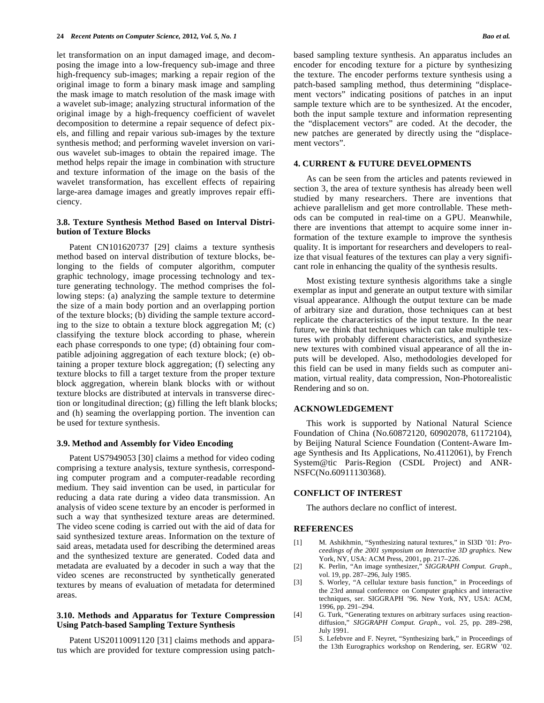let transformation on an input damaged image, and decomposing the image into a low-frequency sub-image and three high-frequency sub-images; marking a repair region of the original image to form a binary mask image and sampling the mask image to match resolution of the mask image with a wavelet sub-image; analyzing structural information of the original image by a high-frequency coefficient of wavelet decomposition to determine a repair sequence of defect pixels, and filling and repair various sub-images by the texture synthesis method; and performing wavelet inversion on various wavelet sub-images to obtain the repaired image. The method helps repair the image in combination with structure and texture information of the image on the basis of the wavelet transformation, has excellent effects of repairing large-area damage images and greatly improves repair efficiency.

#### **3.8. Texture Synthesis Method Based on Interval Distribution of Texture Blocks**

 Patent CN101620737 [29] claims a texture synthesis method based on interval distribution of texture blocks, belonging to the fields of computer algorithm, computer graphic technology, image processing technology and texture generating technology. The method comprises the following steps: (a) analyzing the sample texture to determine the size of a main body portion and an overlapping portion of the texture blocks; (b) dividing the sample texture according to the size to obtain a texture block aggregation M; (c) classifying the texture block according to phase, wherein each phase corresponds to one type; (d) obtaining four compatible adjoining aggregation of each texture block; (e) obtaining a proper texture block aggregation; (f) selecting any texture blocks to fill a target texture from the proper texture block aggregation, wherein blank blocks with or without texture blocks are distributed at intervals in transverse direction or longitudinal direction; (g) filling the left blank blocks; and (h) seaming the overlapping portion. The invention can be used for texture synthesis.

#### **3.9. Method and Assembly for Video Encoding**

 Patent US7949053 [30] claims a method for video coding comprising a texture analysis, texture synthesis, corresponding computer program and a computer-readable recording medium. They said invention can be used, in particular for reducing a data rate during a video data transmission. An analysis of video scene texture by an encoder is performed in such a way that synthesized texture areas are determined. The video scene coding is carried out with the aid of data for said synthesized texture areas. Information on the texture of said areas, metadata used for describing the determined areas and the synthesized texture are generated. Coded data and metadata are evaluated by a decoder in such a way that the video scenes are reconstructed by synthetically generated textures by means of evaluation of metadata for determined areas.

#### **3.10. Methods and Apparatus for Texture Compression Using Patch-based Sampling Texture Synthesis**

 Patent US20110091120 [31] claims methods and apparatus which are provided for texture compression using patchbased sampling texture synthesis. An apparatus includes an encoder for encoding texture for a picture by synthesizing the texture. The encoder performs texture synthesis using a patch-based sampling method, thus determining "displacement vectors" indicating positions of patches in an input sample texture which are to be synthesized. At the encoder, both the input sample texture and information representing the "displacement vectors" are coded. At the decoder, the new patches are generated by directly using the "displacement vectors".

#### **4. CURRENT & FUTURE DEVELOPMENTS**

 As can be seen from the articles and patents reviewed in section 3, the area of texture synthesis has already been well studied by many researchers. There are inventions that achieve parallelism and get more controllable. These methods can be computed in real-time on a GPU. Meanwhile, there are inventions that attempt to acquire some inner information of the texture example to improve the synthesis quality. It is important for researchers and developers to realize that visual features of the textures can play a very significant role in enhancing the quality of the synthesis results.

 Most existing texture synthesis algorithms take a single exemplar as input and generate an output texture with similar visual appearance. Although the output texture can be made of arbitrary size and duration, those techniques can at best replicate the characteristics of the input texture. In the near future, we think that techniques which can take multiple textures with probably different characteristics, and synthesize new textures with combined visual appearance of all the inputs will be developed. Also, methodologies developed for this field can be used in many fields such as computer animation, virtual reality, data compression, Non-Photorealistic Rendering and so on.

#### **ACKNOWLEDGEMENT**

 This work is supported by National Natural Science Foundation of China (No.60872120, 60902078, 61172104), by Beijing Natural Science Foundation (Content-Aware Image Synthesis and Its Applications, No.4112061), by French System@tic Paris-Region (CSDL Project) and ANR-NSFC(No.60911130368).

#### **CONFLICT OF INTEREST**

The authors declare no conflict of interest.

#### **REFERENCES**

- [1] M. Ashikhmin, "Synthesizing natural textures," in SI3D '01: *Proceedings of the 2001 symposium on Interactive 3D graphics*. New York, NY, USA: ACM Press, 2001, pp. 217–226.
- [2] K. Perlin, "An image synthesizer," *SIGGRAPH Comput. Graph*., vol. 19, pp. 287–296, July 1985.
- [3] S. Worley, "A cellular texture basis function," in Proceedings of the 23rd annual conference on Computer graphics and interactive techniques, ser. SIGGRAPH '96. New York, NY, USA: ACM, 1996, pp. 291–294.
- [4] G. Turk, "Generating textures on arbitrary surfaces using reactiondiffusion," *SIGGRAPH Comput. Graph*., vol. 25, pp. 289–298, July 1991.
- [5] S. Lefebvre and F. Neyret, "Synthesizing bark," in Proceedings of the 13th Eurographics workshop on Rendering, ser. EGRW '02.